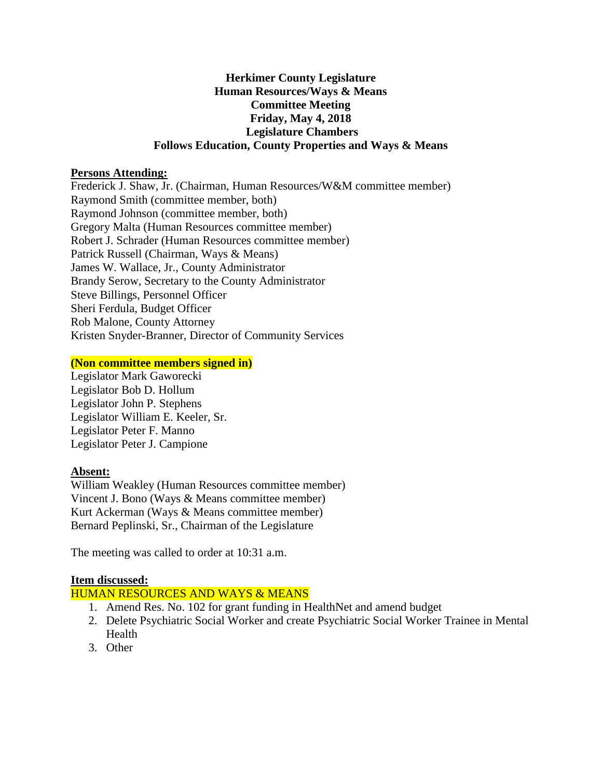# **Herkimer County Legislature Human Resources/Ways & Means Committee Meeting Friday, May 4, 2018 Legislature Chambers Follows Education, County Properties and Ways & Means**

### **Persons Attending:**

Frederick J. Shaw, Jr. (Chairman, Human Resources/W&M committee member) Raymond Smith (committee member, both) Raymond Johnson (committee member, both) Gregory Malta (Human Resources committee member) Robert J. Schrader (Human Resources committee member) Patrick Russell (Chairman, Ways & Means) James W. Wallace, Jr., County Administrator Brandy Serow, Secretary to the County Administrator Steve Billings, Personnel Officer Sheri Ferdula, Budget Officer Rob Malone, County Attorney Kristen Snyder-Branner, Director of Community Services

#### **(Non committee members signed in)**

Legislator Mark Gaworecki Legislator Bob D. Hollum Legislator John P. Stephens Legislator William E. Keeler, Sr. Legislator Peter F. Manno Legislator Peter J. Campione

### **Absent:**

William Weakley (Human Resources committee member) Vincent J. Bono (Ways & Means committee member) Kurt Ackerman (Ways & Means committee member) Bernard Peplinski, Sr., Chairman of the Legislature

The meeting was called to order at 10:31 a.m.

### **Item discussed:**

### HUMAN RESOURCES AND WAYS & MEANS

- 1. Amend Res. No. 102 for grant funding in HealthNet and amend budget
- 2. Delete Psychiatric Social Worker and create Psychiatric Social Worker Trainee in Mental Health
- 3. Other